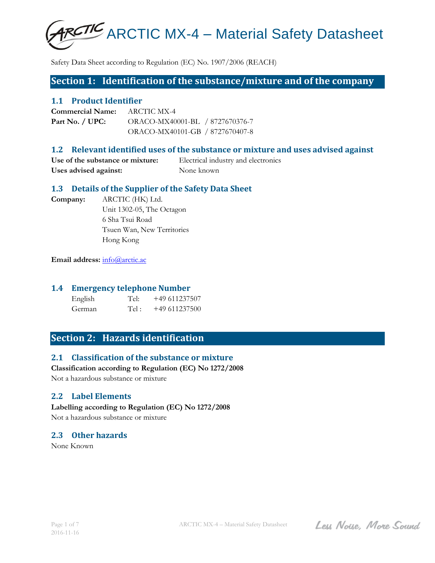

Safety Data Sheet according to Regulation (EC) No. 1907/2006 (REACH)

## **Section 1: Identification of the substance/mixture and of the company**

### **1.1 Product Identifier**

**Commercial Name:** ARCTIC MX-4 Part No. / UPC: ORACO-MX40001-BL / 8727670376-7 ORACO-MX40101-GB / 8727670407-8

## **1.2 Relevant identified uses of the substance or mixture and uses advised against**

**Use of the substance or mixture:** Electrical industry and electronics Uses advised against: None known

## **1.3 Details of the Supplier of the Safety Data Sheet**

**Company:** ARCTIC (HK) Ltd.

Unit 1302-05, The Octagon 6 Sha Tsui Road Tsuen Wan, New Territories Hong Kong

#### Email address: [info@arctic.ac](mailto:info@arctic.ac)

## **1.4 Emergency telephone Number**

| English | Tel:  | +49 611237507 |
|---------|-------|---------------|
| German  | Tel : | +49 611237500 |

## **Section 2: Hazards identification**

## **2.1 Classification of the substance or mixture**

**Classification according to Regulation (EC) No 1272/2008** 

Not a hazardous substance or mixture

## **2.2 Label Elements**

**Labelling according to Regulation (EC) No 1272/2008**  Not a hazardous substance or mixture

## **2.3 Other hazards**

None Known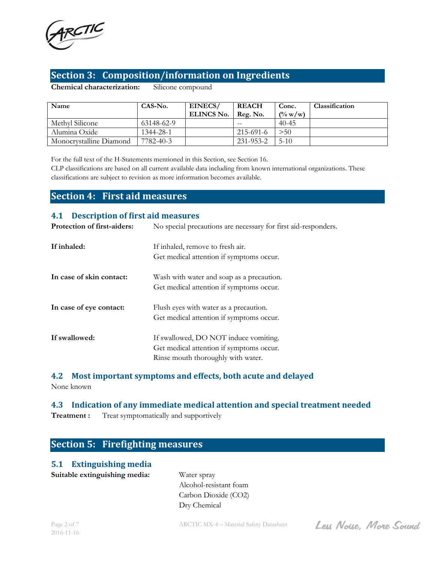

## **Section 3: Composition/information on Ingredients**

**Chemical characterization:** Silicone compound

| Name                    | CAS-No.    | EINECS/           | <b>REACH</b> | Conc.               | Classification |
|-------------------------|------------|-------------------|--------------|---------------------|----------------|
|                         |            | <b>ELINCS No.</b> | Reg. No.     | $(\frac{0}{w} w/w)$ |                |
| Methyl Silicone         | 63148-62-9 |                   | $ -$         | $40 - 45$           |                |
| Alumina Oxide           | 1344-28-1  |                   | 215-691-6    | >50                 |                |
| Monocrystalline Diamond | 7782-40-3  |                   | 231-953-2    | $5-10$              |                |

For the full text of the H-Statements mentioned in this Section, see Section 16.

CLP classifications are based on all current available data including from known international organizations. These classifications are subject to revision as more information becomes available.

## **Section 4: First aid measures**

### **4.1 Description of first aid measures**

| <b>Protection of first-aiders:</b> | No special precautions are necessary for first aid-responders. |
|------------------------------------|----------------------------------------------------------------|
| If inhaled:                        | If inhaled, remove to fresh air.                               |
|                                    | Get medical attention if symptoms occur.                       |
| In case of skin contact:           | Wash with water and soap as a precaution.                      |
|                                    | Get medical attention if symptoms occur.                       |
| In case of eye contact:            | Flush eyes with water as a precaution.                         |
|                                    | Get medical attention if symptoms occur.                       |
| If swallowed:                      | If swallowed, DO NOT induce vomiting.                          |
|                                    | Get medical attention if symptoms occur.                       |
|                                    | Rinse mouth thoroughly with water.                             |
|                                    |                                                                |

# **4.2 Most important symptoms and effects, both acute and delayed**

None known

## **4.3 Indication of any immediate medical attention and special treatment needed**

**Treatment :** Treat symptomatically and supportively

## **Section 5: Firefighting measures**

## **5.1 Extinguishing media**

**Suitable extinguishing media:** Water spray

Alcohol-resistant foam Carbon Dioxide (CO2) Dry Chemical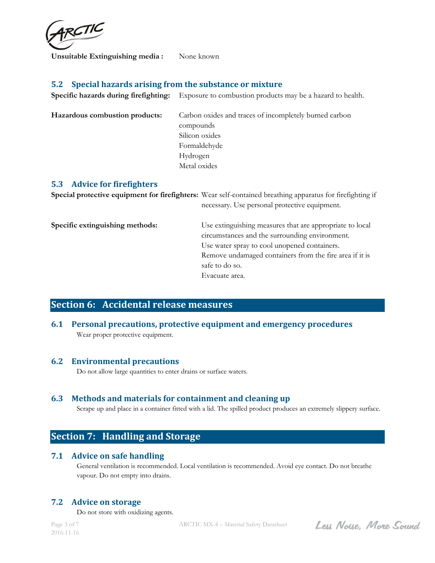ARCTIC

**Unsuitable Extinguishing media :** None known

## **5.2 Special hazards arising from the substance or mixture**

| Specific hazards during fire fighting: | Exposure to combustion products may be a hazard to health. |
|----------------------------------------|------------------------------------------------------------|
| Hazardous combustion products:         | Carbon oxides and traces of incompletely burned carbon     |
|                                        | compounds                                                  |
|                                        | Silicon oxides                                             |
|                                        | Formaldehyde                                               |
|                                        | Hydrogen                                                   |
|                                        | Metal oxides                                               |

### **5.3 Advice for firefighters**

|                                 | Special protective equipment for firefighters: Wear self-contained breathing apparatus for firefighting if<br>necessary. Use personal protective equipment.                                                                                               |
|---------------------------------|-----------------------------------------------------------------------------------------------------------------------------------------------------------------------------------------------------------------------------------------------------------|
| Specific extinguishing methods: | Use extinguishing measures that are appropriate to local<br>circumstances and the surrounding environment.<br>Use water spray to cool unopened containers.<br>Remove undamaged containers from the fire area if it is<br>safe to do so.<br>Evacuate area. |

## **Section 6: Accidental release measures**

**6.1 Personal precautions, protective equipment and emergency procedures**  Wear proper protective equipment.

## **6.2 Environmental precautions**

Do not allow large quantities to enter drains or surface waters.

## **6.3 Methods and materials for containment and cleaning up**

Scrape up and place in a container fitted with a lid. The spilled product produces an extremely slippery surface.

## **Section 7: Handling and Storage**

#### **7.1 Advice on safe handling**

General ventilation is recommended. Local ventilation is recommended. Avoid eye contact. Do not breathe vapour. Do not empty into drains.

## **7.2 Advice on storage**

Do not store with oxidizing agents.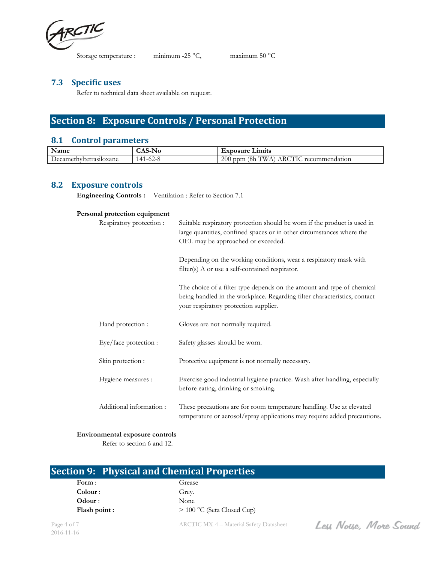

Storage temperature : minimum -25 °C, maximum 50 °C

### **7.3 Specific uses**

Refer to technical data sheet available on request.

## **Section 8: Exposure Controls / Personal Protection**

## **8.1 Control parameters**

| Name                    | -INO<br>- A3 - 1 | Exposure Limits                                       |
|-------------------------|------------------|-------------------------------------------------------|
| Decamethvitetrasiloxane | 1-62-8<br>141.   | 78h<br>ARCTIC<br>200<br>TW<br>- ppm<br>recommendation |

## **8.2 Exposure controls**

**Engineering Controls :** Ventilation : Refer to Section 7.1

#### **Personal protection equipment**

| Respiratory protection : | Suitable respiratory protection should be worn if the product is used in<br>large quantities, confined spaces or in other circumstances where the<br>OEL may be approached or exceeded.      |
|--------------------------|----------------------------------------------------------------------------------------------------------------------------------------------------------------------------------------------|
|                          | Depending on the working conditions, wear a respiratory mask with<br>filter(s) A or use a self-contained respirator.                                                                         |
|                          | The choice of a filter type depends on the amount and type of chemical<br>being handled in the workplace. Regarding filter characteristics, contact<br>your respiratory protection supplier. |
| Hand protection :        | Gloves are not normally required.                                                                                                                                                            |
| Eye/face protection :    | Safety glasses should be worn.                                                                                                                                                               |
| Skin protection :        | Protective equipment is not normally necessary.                                                                                                                                              |
| Hygiene measures :       | Exercise good industrial hygiene practice. Wash after handling, especially<br>before eating, drinking or smoking.                                                                            |
| Additional information:  | These precautions are for room temperature handling. Use at elevated<br>temperature or aerosol/spray applications may require added precautions.                                             |

#### **Environmental exposure controls**

Refer to section 6 and 12.

| Form:         |
|---------------|
| Colour :      |
| Odour:        |
| Flash point : |

Grease Grey. **Odour** : None **Flash point :** > 100 °C (Seta Closed Cup)

Less Noise, More Sound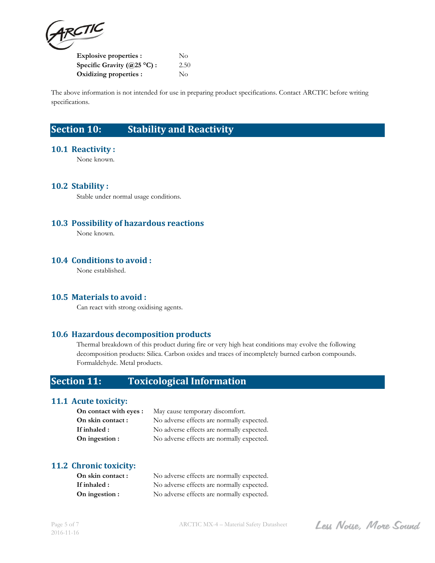

| <b>Explosive properties :</b>         | No   |
|---------------------------------------|------|
| Specific Gravity (@25 $^{\circ}$ C) : | 2.50 |
| Oxidizing properties :                | No.  |

The above information is not intended for use in preparing product specifications. Contact ARCTIC before writing specifications.

## **Section 10: Stability and Reactivity**

#### **10.1 Reactivity :**

None known.

#### **10.2 Stability :**

Stable under normal usage conditions.

## **10.3 Possibility of hazardous reactions**

None known.

#### **10.4 Conditions to avoid :**

None established.

## **10.5 Materials to avoid :**

Can react with strong oxidising agents.

#### **10.6 Hazardous decomposition products**

Thermal breakdown of this product during fire or very high heat conditions may evolve the following decomposition products: Silica. Carbon oxides and traces of incompletely burned carbon compounds. Formaldehyde. Metal products.

## **Section 11: Toxicological Information**

#### **11.1 Acute toxicity:**

| On contact with eyes : | May cause temporary discomfort.           |
|------------------------|-------------------------------------------|
| On skin contact:       | No adverse effects are normally expected. |
| If inhaled :           | No adverse effects are normally expected. |
| On ingestion :         | No adverse effects are normally expected. |

## **11.2 Chronic toxicity:**

| On skin contact: | No adverse effects are normally expected. |
|------------------|-------------------------------------------|
| If inhaled :     | No adverse effects are normally expected. |
| On ingestion :   | No adverse effects are normally expected. |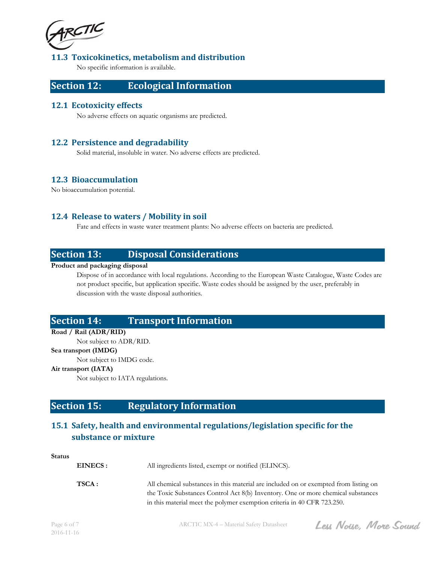ARCTIC

## **11.3 Toxicokinetics, metabolism and distribution**

No specific information is available.

## **Section 12: Ecological Information**

### **12.1 Ecotoxicity effects**

No adverse effects on aquatic organisms are predicted.

## **12.2 Persistence and degradability**

Solid material, insoluble in water. No adverse effects are predicted.

## **12.3 Bioaccumulation**

No bioaccumulation potential.

## **12.4 Release to waters / Mobility in soil**

Fate and effects in waste water treatment plants: No adverse effects on bacteria are predicted.

## **Section 13: Disposal Considerations**

#### **Product and packaging disposal**

Dispose of in accordance with local regulations. According to the European Waste Catalogue, Waste Codes are not product specific, but application specific. Waste codes should be assigned by the user, preferably in discussion with the waste disposal authorities.

## **Section 14: Transport Information**

#### **Road / Rail (ADR/RID)**

Not subject to ADR/RID.

#### **Sea transport (IMDG)**

Not subject to IMDG code.

**Air transport (IATA)**

Not subject to IATA regulations.

## **Section 15: Regulatory Information**

## **15.1 Safety, health and environmental regulations/legislation specific for the substance or mixture**

#### **Status**

| EINECS: | All ingredients listed, exempt or notified (ELINCS).                                                                                                                                                                                                |
|---------|-----------------------------------------------------------------------------------------------------------------------------------------------------------------------------------------------------------------------------------------------------|
| TSCA:   | All chemical substances in this material are included on or exempted from listing on<br>the Toxic Substances Control Act 8(b) Inventory. One or more chemical substances<br>in this material meet the polymer exemption criteria in 40 CFR 723.250. |

Page 6 of 7 ARCTIC MX-4 – Material Safety Datasheet